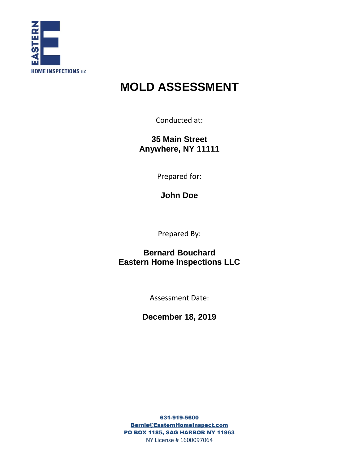

# **MOLD ASSESSMENT**

Conducted at:

**35 Main Street Anywhere, NY 11111**

Prepared for:

**John Doe**

Prepared By:

**Bernard Bouchard Eastern Home Inspections LLC**

Assessment Date:

**December 18, 2019**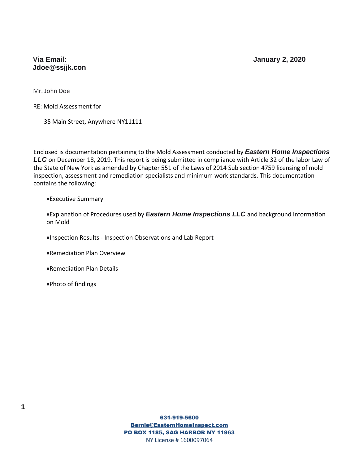### **Via Email: January 2, 2020 Jdoe@ssjjk.con**

Mr. John Doe

RE: Mold Assessment for

35 Main Street, Anywhere NY11111

Enclosed is documentation pertaining to the Mold Assessment conducted by *Eastern Home Inspections LLC* on December 18, 2019. This report is being submitted in compliance with Article 32 of the labor Law of the State of New York as amended by Chapter 551 of the Laws of 2014 Sub section 4759 licensing of mold inspection, assessment and remediation specialists and minimum work standards. This documentation contains the following:

#### Executive Summary

Explanation of Procedures used by *Eastern Home Inspections LLC* and background information on Mold

Inspection Results - Inspection Observations and Lab Report

- Remediation Plan Overview
- Remediation Plan Details
- Photo of findings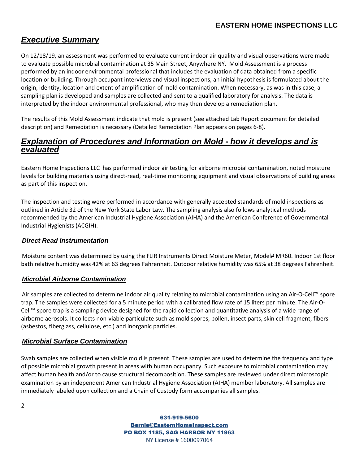# *Executive Summary*

On 12/18/19, an assessment was performed to evaluate current indoor air quality and visual observations were made to evaluate possible microbial contamination at 35 Main Street, Anywhere NY. Mold Assessment is a process performed by an indoor environmental professional that includes the evaluation of data obtained from a specific location or building. Through occupant interviews and visual inspections, an initial hypothesis is formulated about the origin, identity, location and extent of amplification of mold contamination. When necessary, as was in this case, a sampling plan is developed and samples are collected and sent to a qualified laboratory for analysis. The data is interpreted by the indoor environmental professional, who may then develop a remediation plan.

The results of this Mold Assessment indicate that mold is present (see attached Lab Report document for detailed description) and Remediation is necessary (Detailed Remediation Plan appears on pages 6-8).

## *Explanation of Procedures and Information on Mold - how it develops and is evaluated*

Eastern Home Inspections LLC has performed indoor air testing for airborne microbial contamination, noted moisture levels for building materials using direct-read, real-time monitoring equipment and visual observations of building areas as part of this inspection.

The inspection and testing were performed in accordance with generally accepted standards of mold inspections as outlined in Article 32 of the New York State Labor Law. The sampling analysis also follows analytical methods recommended by the American Industrial Hygiene Association (AIHA) and the American Conference of Governmental Industrial Hygienists (ACGIH).

#### *Direct Read Instrumentation*

Moisture content was determined by using the FLIR Instruments Direct Moisture Meter, Model# MR60. Indoor 1st floor bath relative humidity was 42% at 63 degrees Fahrenheit. Outdoor relative humidity was 65% at 38 degrees Fahrenheit.

#### *Microbial Airborne Contamination*

Air samples are collected to determine indoor air quality relating to microbial contamination using an Air-O-Cell™ spore trap. The samples were collected for a 5 minute period with a calibrated flow rate of 15 liters per minute. The Air-O-Cell™ spore trap is a sampling device designed for the rapid collection and quantitative analysis of a wide range of airborne aerosols. It collects non-viable particulate such as mold spores, pollen, insect parts, skin cell fragment, fibers (asbestos, fiberglass, cellulose, etc.) and inorganic particles.

#### *Microbial Surface Contamination*

Swab samples are collected when visible mold is present. These samples are used to determine the frequency and type of possible microbial growth present in areas with human occupancy. Such exposure to microbial contamination may affect human health and/or to cause structural decomposition. These samples are reviewed under direct microscopic examination by an independent American Industrial Hygiene Association (AIHA) member laboratory. All samples are immediately labeled upon collection and a Chain of Custody form accompanies all samples.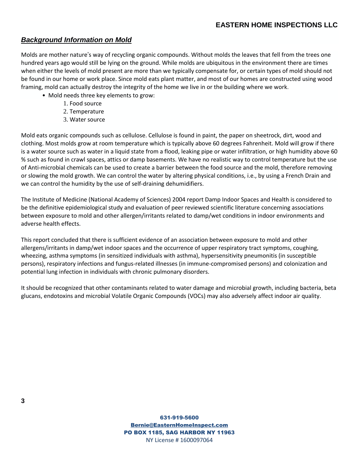## *Background Information on Mold*

Molds are mother nature's way of recycling organic compounds. Without molds the leaves that fell from the trees one hundred years ago would still be lying on the ground. While molds are ubiquitous in the environment there are times when either the levels of mold present are more than we typically compensate for, or certain types of mold should not be found in our home or work place. Since mold eats plant matter, and most of our homes are constructed using wood framing, mold can actually destroy the integrity of the home we live in or the building where we work.

- Mold needs three key elements to grow:
	- 1. Food source
	- 2. Temperature
	- 3. Water source

Mold eats organic compounds such as cellulose. Cellulose is found in paint, the paper on sheetrock, dirt, wood and clothing. Most molds grow at room temperature which is typically above 60 degrees Fahrenheit. Mold will grow if there is a water source such as water in a liquid state from a flood, leaking pipe or water infiltration, or high humidity above 60 % such as found in crawl spaces, attics or damp basements. We have no realistic way to control temperature but the use of Anti-microbial chemicals can be used to create a barrier between the food source and the mold, therefore removing or slowing the mold growth. We can control the water by altering physical conditions, i.e., by using a French Drain and we can control the humidity by the use of self-draining dehumidifiers.

The Institute of Medicine (National Academy of Sciences) 2004 report Damp Indoor Spaces and Health is considered to be the definitive epidemiological study and evaluation of peer reviewed scientific literature concerning associations between exposure to mold and other allergen/irritants related to damp/wet conditions in indoor environments and adverse health effects.

This report concluded that there is sufficient evidence of an association between exposure to mold and other allergens/irritants in damp/wet indoor spaces and the occurrence of upper respiratory tract symptoms, coughing, wheezing, asthma symptoms (in sensitized individuals with asthma), hypersensitivity pneumonitis (in susceptible persons), respiratory infections and fungus-related illnesses (in immune-compromised persons) and colonization and potential lung infection in individuals with chronic pulmonary disorders.

It should be recognized that other contaminants related to water damage and microbial growth, including bacteria, beta glucans, endotoxins and microbial Volatile Organic Compounds (VOCs) may also adversely affect indoor air quality.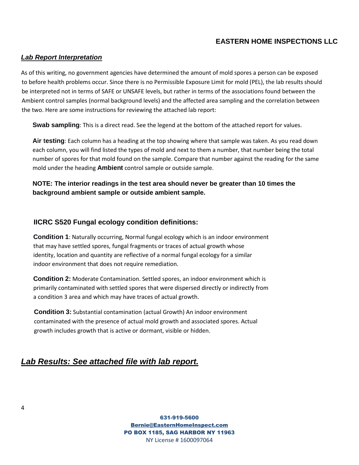## **EASTERN HOME INSPECTIONS LLC**

#### *Lab Report Interpretation*

As of this writing, no government agencies have determined the amount of mold spores a person can be exposed to before health problems occur. Since there is no Permissible Exposure Limit for mold (PEL), the lab results should be interpreted not in terms of SAFE or UNSAFE levels, but rather in terms of the associations found between the Ambient control samples (normal background levels) and the affected area sampling and the correlation between the two. Here are some instructions for reviewing the attached lab report:

**Swab sampling**: This is a direct read. See the legend at the bottom of the attached report for values.

**Air testing**: Each column has a heading at the top showing where that sample was taken. As you read down each column, you will find listed the types of mold and next to them a number, that number being the total number of spores for that mold found on the sample. Compare that number against the reading for the same mold under the heading **Ambient** control sample or outside sample.

#### **NOTE: The interior readings in the test area should never be greater than 10 times the background ambient sample or outside ambient sample.**

#### **IICRC S520 Fungal ecology condition definitions:**

**Condition 1**: Naturally occurring, Normal fungal ecology which is an indoor environment that may have settled spores, fungal fragments or traces of actual growth whose identity, location and quantity are reflective of a normal fungal ecology for a similar indoor environment that does not require remediation.

**Condition 2:** Moderate Contamination. Settled spores, an indoor environment which is primarily contaminated with settled spores that were dispersed directly or indirectly from a condition 3 area and which may have traces of actual growth.

**Condition 3:** Substantial contamination (actual Growth) An indoor environment contaminated with the presence of actual mold growth and associated spores. Actual growth includes growth that is active or dormant, visible or hidden.

## *Lab Results: See attached file with lab report.*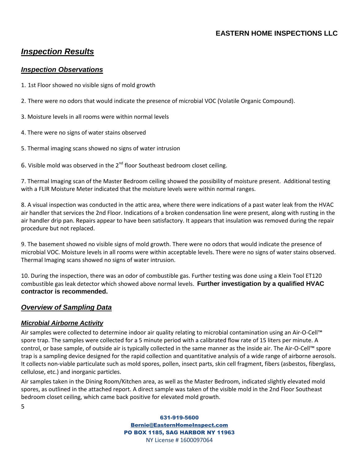## **EASTERN HOME INSPECTIONS LLC**

## *Inspection Results*

#### *Inspection Observations*

- 1. 1st Floor showed no visible signs of mold growth
- 2. There were no odors that would indicate the presence of microbial VOC (Volatile Organic Compound).
- 3. Moisture levels in all rooms were within normal levels
- 4. There were no signs of water stains observed
- 5. Thermal imaging scans showed no signs of water intrusion

6. Visible mold was observed in the  $2^{nd}$  floor Southeast bedroom closet ceiling.

7. Thermal Imaging scan of the Master Bedroom ceiling showed the possibility of moisture present. Additional testing with a FLIR Moisture Meter indicated that the moisture levels were within normal ranges.

8. A visual inspection was conducted in the attic area, where there were indications of a past water leak from the HVAC air handler that services the 2nd Floor. Indications of a broken condensation line were present, along with rusting in the air handler drip pan. Repairs appear to have been satisfactory. It appears that insulation was removed during the repair procedure but not replaced.

9. The basement showed no visible signs of mold growth. There were no odors that would indicate the presence of microbial VOC. Moisture levels in all rooms were within acceptable levels. There were no signs of water stains observed. Thermal Imaging scans showed no signs of water intrusion.

10. During the inspection, there was an odor of combustible gas. Further testing was done using a Klein Tool ET120 combustible gas leak detector which showed above normal levels. **Further investigation by a qualified HVAC contractor is recommended.**

## *Overview of Sampling Data*

#### *Microbial Airborne Activity*

5

Air samples were collected to determine indoor air quality relating to microbial contamination using an Air-O-Cell™ spore trap. The samples were collected for a 5 minute period with a calibrated flow rate of 15 liters per minute. A control, or base sample, of outside air is typically collected in the same manner as the inside air. The Air-O-Cell™ spore trap is a sampling device designed for the rapid collection and quantitative analysis of a wide range of airborne aerosols. It collects non-viable particulate such as mold spores, pollen, insect parts, skin cell fragment, fibers (asbestos, fiberglass, cellulose, etc.) and inorganic particles.

Air samples taken in the Dining Room/Kitchen area, as well as the Master Bedroom, indicated slightly elevated mold spores, as outlined in the attached report. A direct sample was taken of the visible mold in the 2nd Floor Southeast bedroom closet ceiling, which came back positive for elevated mold growth.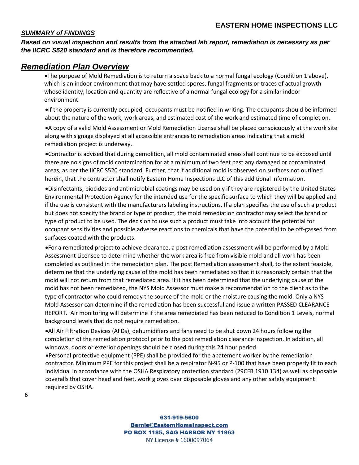#### *SUMMARY of FINDINGS*

*Based on visual inspection and results from the attached lab report, remediation is necessary as per the IICRC S520 standard and is therefore recommended.*

## *Remediation Plan Overview*

The purpose of Mold Remediation is to return a space back to a normal fungal ecology (Condition 1 above), which is an indoor environment that may have settled spores, fungal fragments or traces of actual growth whose identity, location and quantity are reflective of a normal fungal ecology for a similar indoor environment.

If the property is currently occupied, occupants must be notified in writing. The occupants should be informed about the nature of the work, work areas, and estimated cost of the work and estimated time of completion.

A copy of a valid Mold Assessment or Mold Remediation License shall be placed conspicuously at the work site along with signage displayed at all accessible entrances to remediation areas indicating that a mold remediation project is underway.

Contractor is advised that during demolition, all mold contaminated areas shall continue to be exposed until there are no signs of mold contamination for at a minimum of two feet past any damaged or contaminated areas, as per the IICRC S520 standard. Further, that if additional mold is observed on surfaces not outlined herein, that the contractor shall notify Eastern Home Inspections LLC of this additional information.

Disinfectants, biocides and antimicrobial coatings may be used only if they are registered by the United States Environmental Protection Agency for the intended use for the specific surface to which they will be applied and if the use is consistent with the manufacturers labeling instructions. If a plan specifies the use of such a product but does not specify the brand or type of product, the mold remediation contractor may select the brand or type of product to be used. The decision to use such a product must take into account the potential for occupant sensitivities and possible adverse reactions to chemicals that have the potential to be off-gassed from surfaces coated with the products.

For a remediated project to achieve clearance, a post remediation assessment will be performed by a Mold Assessment Licensee to determine whether the work area is free from visible mold and all work has been completed as outlined in the remediation plan. The post Remediation assessment shall, to the extent feasible, determine that the underlying cause of the mold has been remediated so that it is reasonably certain that the mold will not return from that remediated area. If it has been determined that the underlying cause of the mold has not been remediated, the NYS Mold Assessor must make a recommendation to the client as to the type of contractor who could remedy the source of the mold or the moisture causing the mold. Only a NYS Mold Assessor can determine if the remediation has been successful and issue a written PASSED CLEARANCE REPORT. Air monitoring will determine if the area remediated has been reduced to Condition 1 Levels, normal background levels that do not require remediation.

All Air Filtration Devices (AFDs), dehumidifiers and fans need to be shut down 24 hours following the completion of the remediation protocol prior to the post remediation clearance inspection. In addition, all windows, doors or exterior openings should be closed during this 24 hour period.

Personal protective equipment (PPE) shall be provided for the abatement worker by the remediation contractor. Minimum PPE for this project shall be a respirator N-95 or P-100 that have been properly fit to each individual in accordance with the OSHA Respiratory protection standard (29CFR 1910.134) as well as disposable coveralls that cover head and feet, work gloves over disposable gloves and any other safety equipment required by OSHA.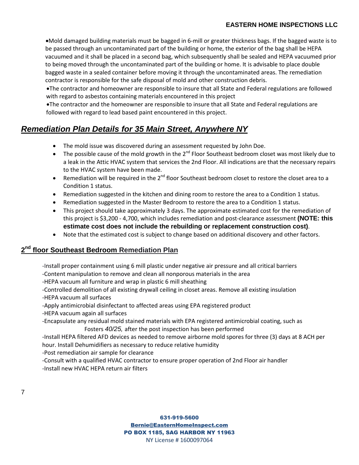Mold damaged building materials must be bagged in 6-mill or greater thickness bags. If the bagged waste is to be passed through an uncontaminated part of the building or home, the exterior of the bag shall be HEPA vacuumed and it shall be placed in a second bag, which subsequently shall be sealed and HEPA vacuumed prior to being moved through the uncontaminated part of the building or home. It is advisable to place double bagged waste in a sealed container before moving it through the uncontaminated areas. The remediation contractor is responsible for the safe disposal of mold and other construction debris.

The contractor and homeowner are responsible to insure that all State and Federal regulations are followed with regard to asbestos containing materials encountered in this project

The contractor and the homeowner are responsible to insure that all State and Federal regulations are followed with regard to lead based paint encountered in this project.

# *Remediation Plan Details for 35 Main Street, Anywhere NY*

- The mold issue was discovered during an assessment requested by John Doe.
- The possible cause of the mold growth in the 2<sup>nd</sup> Floor Southeast bedroom closet was most likely due to a leak in the Attic HVAC system that services the 2nd Floor. All indications are that the necessary repairs to the HVAC system have been made.
- **•** Remediation will be required in the 2<sup>nd</sup> floor Southeast bedroom closet to restore the closet area to a Condition 1 status.
- Remediation suggested in the kitchen and dining room to restore the area to a Condition 1 status.
- Remediation suggested in the Master Bedroom to restore the area to a Condition 1 status.
- This project should take approximately 3 days. The approximate estimated cost for the remediation of this project is \$3,200 - 4,700, which includes remediation and post-clearance assessment **(NOTE: this estimate cost does not include the rebuilding or replacement construction cost)**.
- Note that the estimated cost is subject to change based on additional discovery and other factors.

## **2 nd floor Southeast Bedroom Remediation Plan**

-Install proper containment using 6 mill plastic under negative air pressure and all critical barriers

- -Content manipulation to remove and clean all nonporous materials in the area
- -HEPA vacuum all furniture and wrap in plastic 6 mill sheathing

-Controlled demolition of all existing drywall ceiling in closet areas. Remove all existing insulation -HEPA vacuum all surfaces

- -Apply antimicrobial disinfectant to affected areas using EPA registered product
- -HEPA vacuum again all surfaces

-Encapsulate any residual mold stained materials with EPA registered antimicrobial coating, such as Fosters *40/25,* after the post inspection has been performed

-Install HEPA filtered AFD devices as needed to remove airborne mold spores for three (3) days at 8 ACH per hour. Install Dehumidifiers as necessary to reduce relative humidity

-Post remediation air sample for clearance

-Consult with a qualified HVAC contractor to ensure proper operation of 2nd Floor air handler -Install new HVAC HEPA return air filters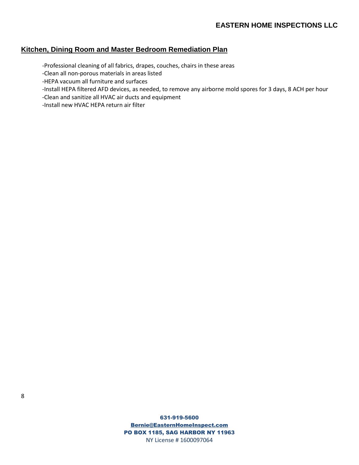## **Kitchen, Dining Room and Master Bedroom Remediation Plan**

-Professional cleaning of all fabrics, drapes, couches, chairs in these areas

-Clean all non-porous materials in areas listed

-HEPA vacuum all furniture and surfaces

-Install HEPA filtered AFD devices, as needed, to remove any airborne mold spores for 3 days, 8 ACH per hour

-Clean and sanitize all HVAC air ducts and equipment

-Install new HVAC HEPA return air filter